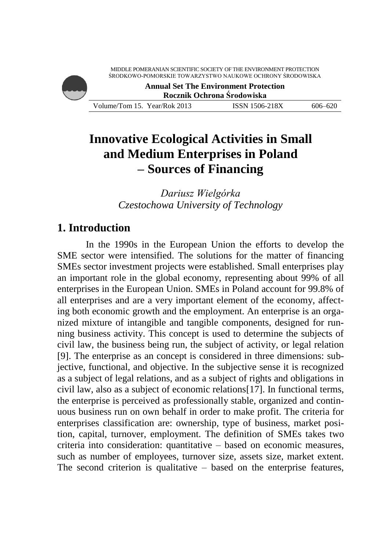

# **Innovative Ecological Activities in Small and Medium Enterprises in Poland – Sources of Financing**

*Dariusz Wielgórka Czestochowa University of Technology*

## **1. Introduction**

In the 1990s in the European Union the efforts to develop the SME sector were intensified. The solutions for the matter of financing SMEs sector investment projects were established. Small enterprises play an important role in the global economy, representing about 99% of all enterprises in the European Union. SMEs in Poland account for 99.8% of all enterprises and are a very important element of the economy, affecting both economic growth and the employment. An enterprise is an organized mixture of intangible and tangible components, designed for running business activity. This concept is used to determine the subjects of civil law, the business being run, the subject of activity, or legal relation [9]. The enterprise as an concept is considered in three dimensions: subjective, functional, and objective. In the subjective sense it is recognized as a subject of legal relations, and as a subject of rights and obligations in civil law, also as a subject of economic relations[17]. In functional terms, the enterprise is perceived as professionally stable, organized and continuous business run on own behalf in order to make profit. The criteria for enterprises classification are: ownership, type of business, market position, capital, turnover, employment. The definition of SMEs takes two criteria into consideration: quantitative – based on economic measures, such as number of employees, turnover size, assets size, market extent. The second criterion is qualitative – based on the enterprise features,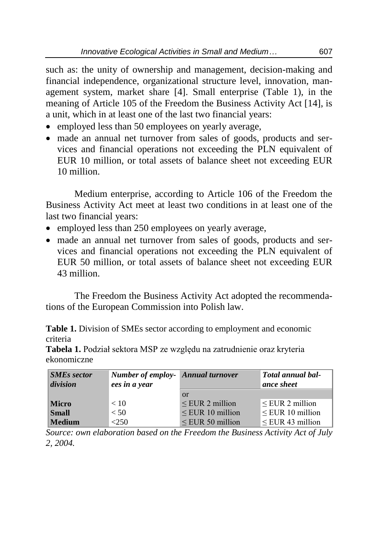such as: the unity of ownership and management, decision-making and financial independence, organizational structure level, innovation, management system, market share [4]. Small enterprise (Table 1), in the meaning of Article 105 of the Freedom the Business Activity Act [14], is a unit, which in at least one of the last two financial years:

- employed less than 50 employees on yearly average,
- made an annual net turnover from sales of goods, products and services and financial operations not exceeding the PLN equivalent of EUR 10 million, or total assets of balance sheet not exceeding EUR 10 million.

Medium enterprise, according to Article 106 of the Freedom the Business Activity Act meet at least two conditions in at least one of the last two financial years:

- employed less than 250 employees on yearly average,
- made an annual net turnover from sales of goods, products and services and financial operations not exceeding the PLN equivalent of EUR 50 million, or total assets of balance sheet not exceeding EUR 43 million.

The Freedom the Business Activity Act adopted the recommendations of the European Commission into Polish law.

**Table 1.** Division of SMEs sector according to employment and economic criteria

**Tabela 1.** Podział sektora MSP ze względu na zatrudnienie oraz kryteria ekonomiczne

| <b>SMEs sector</b><br>division | <b>Number of employ-</b> Annual turnover<br>ees in a year |                       | Total annual bal-<br>ance sheet |
|--------------------------------|-----------------------------------------------------------|-----------------------|---------------------------------|
|                                |                                                           | or                    |                                 |
| <b>Micro</b>                   | < 10                                                      | $\leq$ EUR 2 million  | $\leq$ EUR 2 million            |
| <b>Small</b>                   | < 50                                                      | $\leq$ EUR 10 million | $\leq$ EUR 10 million           |
| Medium                         | < 250                                                     | $\leq$ EUR 50 million | $\leq$ EUR 43 million           |

*Source: own elaboration based on the Freedom the Business Activity Act of July 2, 2004.*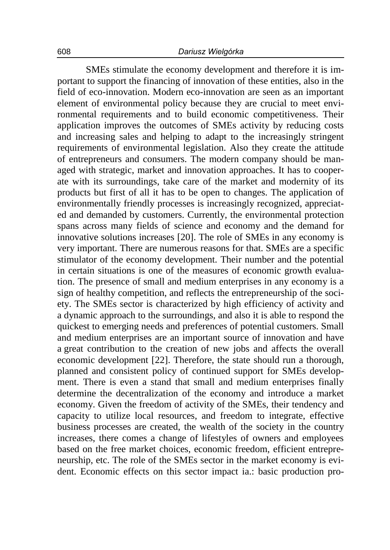SMEs stimulate the economy development and therefore it is important to support the financing of innovation of these entities, also in the field of eco-innovation. Modern eco-innovation are seen as an important element of environmental policy because they are crucial to meet environmental requirements and to build economic competitiveness. Their application improves the outcomes of SMEs activity by reducing costs and increasing sales and helping to adapt to the increasingly stringent requirements of environmental legislation. Also they create the attitude of entrepreneurs and consumers. The modern company should be managed with strategic, market and innovation approaches. It has to cooperate with its surroundings, take care of the market and modernity of its products but first of all it has to be open to changes. The application of environmentally friendly processes is increasingly recognized, appreciated and demanded by customers. Currently, the environmental protection spans across many fields of science and economy and the demand for innovative solutions increases [20]. The role of SMEs in any economy is very important. There are numerous reasons for that. SMEs are a specific stimulator of the economy development. Their number and the potential in certain situations is one of the measures of economic growth evaluation. The presence of small and medium enterprises in any economy is a sign of healthy competition, and reflects the entrepreneurship of the society. The SMEs sector is characterized by high efficiency of activity and a dynamic approach to the surroundings, and also it is able to respond the quickest to emerging needs and preferences of potential customers. Small and medium enterprises are an important source of innovation and have a great contribution to the creation of new jobs and affects the overall economic development [22]. Therefore, the state should run a thorough, planned and consistent policy of continued support for SMEs development. There is even a stand that small and medium enterprises finally determine the decentralization of the economy and introduce a market economy. Given the freedom of activity of the SMEs, their tendency and capacity to utilize local resources, and freedom to integrate, effective business processes are created, the wealth of the society in the country increases, there comes a change of lifestyles of owners and employees based on the free market choices, economic freedom, efficient entrepreneurship, etc. The role of the SMEs sector in the market economy is evident. Economic effects on this sector impact ia.: basic production pro-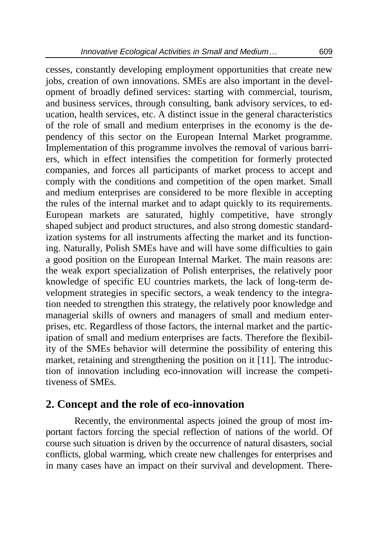cesses, constantly developing employment opportunities that create new jobs, creation of own innovations. SMEs are also important in the development of broadly defined services: starting with commercial, tourism, and business services, through consulting, bank advisory services, to education, health services, etc. A distinct issue in the general characteristics of the role of small and medium enterprises in the economy is the dependency of this sector on the European Internal Market programme. Implementation of this programme involves the removal of various barriers, which in effect intensifies the competition for formerly protected companies, and forces all participants of market process to accept and comply with the conditions and competition of the open market. Small and medium enterprises are considered to be more flexible in accepting the rules of the internal market and to adapt quickly to its requirements. European markets are saturated, highly competitive, have strongly shaped subject and product structures, and also strong domestic standardization systems for all instruments affecting the market and its functioning. Naturally, Polish SMEs have and will have some difficulties to gain a good position on the European Internal Market. The main reasons are: the weak export specialization of Polish enterprises, the relatively poor knowledge of specific EU countries markets, the lack of long-term development strategies in specific sectors, a weak tendency to the integration needed to strengthen this strategy, the relatively poor knowledge and managerial skills of owners and managers of small and medium enterprises, etc. Regardless of those factors, the internal market and the participation of small and medium enterprises are facts. Therefore the flexibility of the SMEs behavior will determine the possibility of entering this market, retaining and strengthening the position on it [11]. The introduction of innovation including eco-innovation will increase the competitiveness of SMEs.

#### **2. Concept and the role of eco-innovation**

Recently, the environmental aspects joined the group of most important factors forcing the special reflection of nations of the world. Of course such situation is driven by the occurrence of natural disasters, social conflicts, global warming, which create new challenges for enterprises and in many cases have an impact on their survival and development. There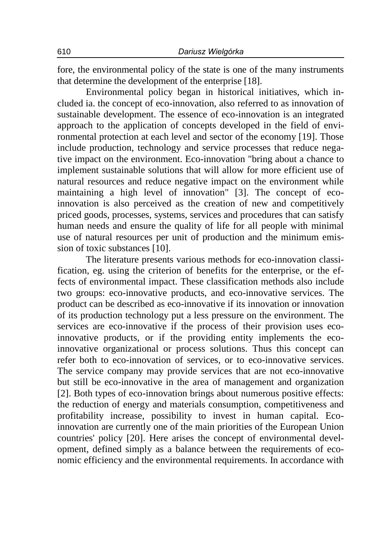fore, the environmental policy of the state is one of the many instruments that determine the development of the enterprise [18].

Environmental policy began in historical initiatives, which included ia. the concept of eco-innovation, also referred to as innovation of sustainable development. The essence of eco-innovation is an integrated approach to the application of concepts developed in the field of environmental protection at each level and sector of the economy [19]. Those include production, technology and service processes that reduce negative impact on the environment. Eco-innovation "bring about a chance to implement sustainable solutions that will allow for more efficient use of natural resources and reduce negative impact on the environment while maintaining a high level of innovation" [3]. The concept of ecoinnovation is also perceived as the creation of new and competitively priced goods, processes, systems, services and procedures that can satisfy human needs and ensure the quality of life for all people with minimal use of natural resources per unit of production and the minimum emission of toxic substances [10].

The literature presents various methods for eco-innovation classification, eg. using the criterion of benefits for the enterprise, or the effects of environmental impact. These classification methods also include two groups: eco-innovative products, and eco-innovative services. The product can be described as eco-innovative if its innovation or innovation of its production technology put a less pressure on the environment. The services are eco-innovative if the process of their provision uses ecoinnovative products, or if the providing entity implements the ecoinnovative organizational or process solutions. Thus this concept can refer both to eco-innovation of services, or to eco-innovative services. The service company may provide services that are not eco-innovative but still be eco-innovative in the area of management and organization [2]. Both types of eco-innovation brings about numerous positive effects: the reduction of energy and materials consumption, competitiveness and profitability increase, possibility to invest in human capital. Ecoinnovation are currently one of the main priorities of the European Union countries' policy [20]. Here arises the concept of environmental development, defined simply as a balance between the requirements of economic efficiency and the environmental requirements. In accordance with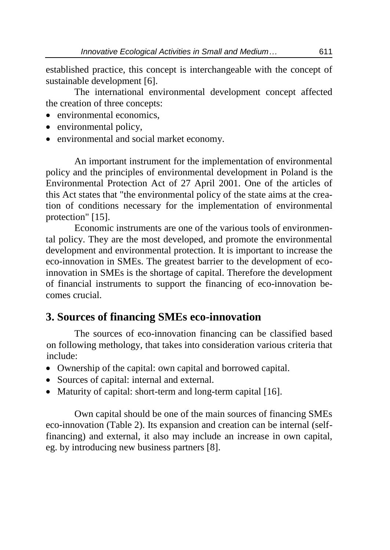established practice, this concept is interchangeable with the concept of sustainable development [6].

The international environmental development concept affected the creation of three concepts:

- environmental economics.
- environmental policy,
- environmental and social market economy.

An important instrument for the implementation of environmental policy and the principles of environmental development in Poland is the Environmental Protection Act of 27 April 2001. One of the articles of this Act states that "the environmental policy of the state aims at the creation of conditions necessary for the implementation of environmental protection" [15].

Economic instruments are one of the various tools of environmental policy. They are the most developed, and promote the environmental development and environmental protection. It is important to increase the eco-innovation in SMEs. The greatest barrier to the development of ecoinnovation in SMEs is the shortage of capital. Therefore the development of financial instruments to support the financing of eco-innovation becomes crucial.

## **3. Sources of financing SMEs eco-innovation**

The sources of eco-innovation financing can be classified based on following methology, that takes into consideration various criteria that include:

- Ownership of the capital: own capital and borrowed capital.
- Sources of capital: internal and external.
- Maturity of capital: short-term and long-term capital [16].

Own capital should be one of the main sources of financing SMEs eco-innovation (Table 2). Its expansion and creation can be internal (selffinancing) and external, it also may include an increase in own capital, eg. by introducing new business partners [8].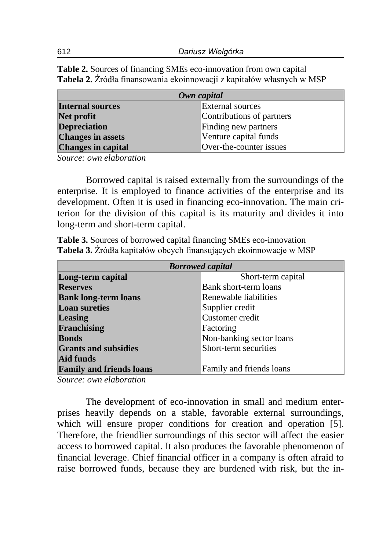**Table 2.** Sources of financing SMEs eco-innovation from own capital **Tabela 2.** Źródła finansowania ekoinnowacji z kapitałów własnych w MSP

| Own capital               |                           |  |
|---------------------------|---------------------------|--|
| Internal sources          | <b>External sources</b>   |  |
| Net profit                | Contributions of partners |  |
| <b>Depreciation</b>       | Finding new partners      |  |
| <b>Changes in assets</b>  | Venture capital funds     |  |
| <b>Changes in capital</b> | Over-the-counter issues   |  |

*Source: own elaboration*

Borrowed capital is raised externally from the surroundings of the enterprise. It is employed to finance activities of the enterprise and its development. Often it is used in financing eco-innovation. The main criterion for the division of this capital is its maturity and divides it into long-term and short-term capital.

**Table 3.** Sources of borrowed capital financing SMEs eco-innovation **Tabela 3.** Źródła kapitałów obcych finansujących ekoinnowacje w MSP

| <b>Borrowed capital</b>         |                          |  |
|---------------------------------|--------------------------|--|
| Long-term capital               | Short-term capital       |  |
| <b>Reserves</b>                 | Bank short-term loans    |  |
| <b>Bank long-term loans</b>     | Renewable liabilities    |  |
| <b>Loan sureties</b>            | Supplier credit          |  |
| Leasing                         | Customer credit          |  |
| Franchising                     | Factoring                |  |
| <b>Bonds</b>                    | Non-banking sector loans |  |
| <b>Grants and subsidies</b>     | Short-term securities    |  |
| Aid funds                       |                          |  |
| <b>Family and friends loans</b> | Family and friends loans |  |

*Source: own elaboration*

The development of eco-innovation in small and medium enterprises heavily depends on a stable, favorable external surroundings, which will ensure proper conditions for creation and operation [5]. Therefore, the friendlier surroundings of this sector will affect the easier access to borrowed capital. It also produces the favorable phenomenon of financial leverage. Chief financial officer in a company is often afraid to raise borrowed funds, because they are burdened with risk, but the in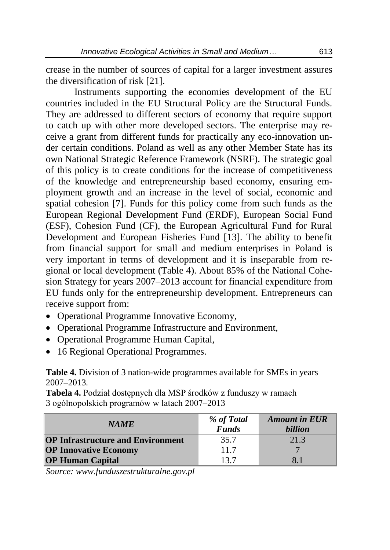crease in the number of sources of capital for a larger investment assures the diversification of risk [21].

Instruments supporting the economies development of the EU countries included in the EU Structural Policy are the Structural Funds. They are addressed to different sectors of economy that require support to catch up with other more developed sectors. The enterprise may receive a grant from different funds for practically any eco-innovation under certain conditions. Poland as well as any other Member State has its own National Strategic Reference Framework (NSRF). The strategic goal of this policy is to create conditions for the increase of competitiveness of the knowledge and entrepreneurship based economy, ensuring employment growth and an increase in the level of social, economic and spatial cohesion [7]. Funds for this policy come from such funds as the European Regional Development Fund (ERDF), European Social Fund (ESF), Cohesion Fund (CF), the European Agricultural Fund for Rural Development and European Fisheries Fund [13]. The ability to benefit from financial support for small and medium enterprises in Poland is very important in terms of development and it is inseparable from regional or local development (Table 4). About 85% of the National Cohesion Strategy for years 2007–2013 account for financial expenditure from EU funds only for the entrepreneurship development. Entrepreneurs can receive support from:

- Operational Programme Innovative Economy,
- Operational Programme Infrastructure and Environment,
- Operational Programme Human Capital,
- 16 Regional Operational Programmes.

**Table 4.** Division of 3 nation-wide programmes available for SMEs in years 2007–2013.

**Tabela 4.** Podział dostępnych dla MSP środków z funduszy w ramach 3 ogólnopolskich programów w latach 2007–2013

| <b>NAME</b>                              | % of Total<br><b>Funds</b> | <b>Amount in EUR</b><br><i>billion</i> |
|------------------------------------------|----------------------------|----------------------------------------|
| <b>OP Infrastructure and Environment</b> | 35.7                       | 21.3                                   |
| <b>OP Innovative Economy</b>             | 11.7                       |                                        |
| <b>OP Human Capital</b>                  | 13.7                       | 81                                     |

*Source: www.funduszestrukturalne.gov.pl*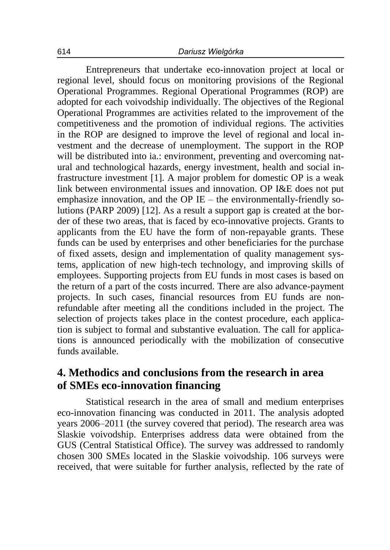Entrepreneurs that undertake eco-innovation project at local or regional level, should focus on monitoring provisions of the Regional Operational Programmes. Regional Operational Programmes (ROP) are adopted for each voivodship individually. The objectives of the Regional Operational Programmes are activities related to the improvement of the competitiveness and the promotion of individual regions. The activities in the ROP are designed to improve the level of regional and local investment and the decrease of unemployment. The support in the ROP will be distributed into ia.: environment, preventing and overcoming natural and technological hazards, energy investment, health and social infrastructure investment [1]. A major problem for domestic OP is a weak link between environmental issues and innovation. OP I&E does not put emphasize innovation, and the OP IE – the environmentally-friendly solutions (PARP 2009) [12]. As a result a support gap is created at the border of these two areas, that is faced by eco-innovative projects. Grants to applicants from the EU have the form of non-repayable grants. These funds can be used by enterprises and other beneficiaries for the purchase of fixed assets, design and implementation of quality management systems, application of new high-tech technology, and improving skills of employees. Supporting projects from EU funds in most cases is based on the return of a part of the costs incurred. There are also advance-payment projects. In such cases, financial resources from EU funds are nonrefundable after meeting all the conditions included in the project. The selection of projects takes place in the contest procedure, each application is subject to formal and substantive evaluation. The call for applications is announced periodically with the mobilization of consecutive funds available.

#### **4. Methodics and conclusions from the research in area of SMEs eco-innovation financing**

Statistical research in the area of small and medium enterprises eco-innovation financing was conducted in 2011. The analysis adopted years 2006–2011 (the survey covered that period). The research area was Slaskie voivodship. Enterprises address data were obtained from the GUS (Central Statistical Office). The survey was addressed to randomly chosen 300 SMEs located in the Slaskie voivodship. 106 surveys were received, that were suitable for further analysis, reflected by the rate of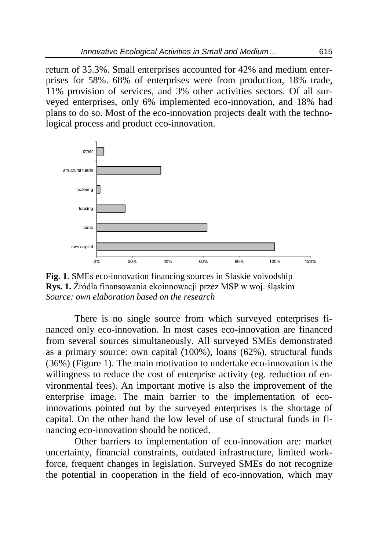return of 35.3%. Small enterprises accounted for 42% and medium enterprises for 58%. 68% of enterprises were from production, 18% trade, 11% provision of services, and 3% other activities sectors. Of all surveyed enterprises, only 6% implemented eco-innovation, and 18% had plans to do so. Most of the eco-innovation projects dealt with the technological process and product eco-innovation.



**Fig. 1**. SMEs eco-innovation financing sources in Slaskie voivodship **Rys. 1.** Źródła finansowania ekoinnowacji przez MSP w woj. śląskim *Source: own elaboration based on the research*

There is no single source from which surveyed enterprises financed only eco-innovation. In most cases eco-innovation are financed from several sources simultaneously. All surveyed SMEs demonstrated as a primary source: own capital (100%), loans (62%), structural funds (36%) (Figure 1). The main motivation to undertake eco-innovation is the willingness to reduce the cost of enterprise activity (eg. reduction of environmental fees). An important motive is also the improvement of the enterprise image. The main barrier to the implementation of ecoinnovations pointed out by the surveyed enterprises is the shortage of capital. On the other hand the low level of use of structural funds in financing eco-innovation should be noticed.

Other barriers to implementation of eco-innovation are: market uncertainty, financial constraints, outdated infrastructure, limited workforce, frequent changes in legislation. Surveyed SMEs do not recognize the potential in cooperation in the field of eco-innovation, which may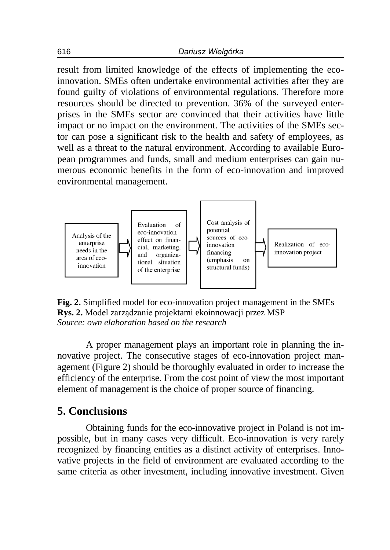result from limited knowledge of the effects of implementing the ecoinnovation. SMEs often undertake environmental activities after they are found guilty of violations of environmental regulations. Therefore more resources should be directed to prevention. 36% of the surveyed enterprises in the SMEs sector are convinced that their activities have little impact or no impact on the environment. The activities of the SMEs sector can pose a significant risk to the health and safety of employees, as well as a threat to the natural environment. According to available European programmes and funds, small and medium enterprises can gain numerous economic benefits in the form of eco-innovation and improved environmental management.



**Fig. 2.** Simplified model for eco-innovation project management in the SMEs **Rys. 2.** Model zarządzanie projektami ekoinnowacji przez MSP *Source: own elaboration based on the research*

A proper management plays an important role in planning the innovative project. The consecutive stages of eco-innovation project management (Figure 2) should be thoroughly evaluated in order to increase the efficiency of the enterprise. From the cost point of view the most important element of management is the choice of proper source of financing.

### **5. Conclusions**

Obtaining funds for the eco-innovative project in Poland is not impossible, but in many cases very difficult. Eco-innovation is very rarely recognized by financing entities as a distinct activity of enterprises. Innovative projects in the field of environment are evaluated according to the same criteria as other investment, including innovative investment. Given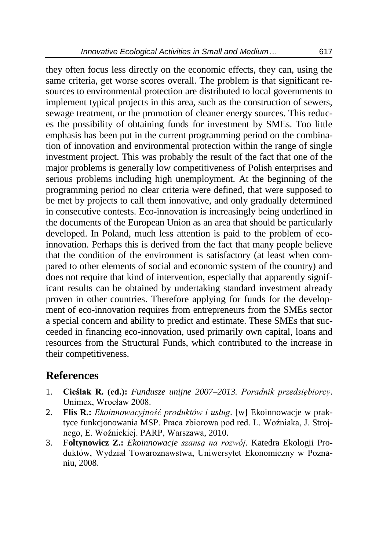they often focus less directly on the economic effects, they can, using the same criteria, get worse scores overall. The problem is that significant resources to environmental protection are distributed to local governments to implement typical projects in this area, such as the construction of sewers, sewage treatment, or the promotion of cleaner energy sources. This reduces the possibility of obtaining funds for investment by SMEs. Too little emphasis has been put in the current programming period on the combination of innovation and environmental protection within the range of single investment project. This was probably the result of the fact that one of the major problems is generally low competitiveness of Polish enterprises and serious problems including high unemployment. At the beginning of the programming period no clear criteria were defined, that were supposed to be met by projects to call them innovative, and only gradually determined in consecutive contests. Eco-innovation is increasingly being underlined in the documents of the European Union as an area that should be particularly developed. In Poland, much less attention is paid to the problem of ecoinnovation. Perhaps this is derived from the fact that many people believe that the condition of the environment is satisfactory (at least when compared to other elements of social and economic system of the country) and does not require that kind of intervention, especially that apparently significant results can be obtained by undertaking standard investment already proven in other countries. Therefore applying for funds for the development of eco-innovation requires from entrepreneurs from the SMEs sector a special concern and ability to predict and estimate. These SMEs that succeeded in financing eco-innovation, used primarily own capital, loans and resources from the Structural Funds, which contributed to the increase in their competitiveness.

#### **References**

- 1. **Cieślak R. (ed.):** *Fundusze unijne 2007–2013. Poradnik przedsiębiorcy*. Unimex, Wrocław 2008.
- 2. **Flis R.:** *Ekoinnowacyjność produktów i usług*. [w] Ekoinnowacje w praktyce funkcjonowania MSP. Praca zbiorowa pod red. L. Woźniaka, J. Strojnego, E. Woźnickiej. PARP, Warszawa, 2010.
- 3. **Foltynowicz Z.:** *Ekoinnowacje szansą na rozwój*. Katedra Ekologii Produktów, Wydział Towaroznawstwa, Uniwersytet Ekonomiczny w Poznaniu, 2008.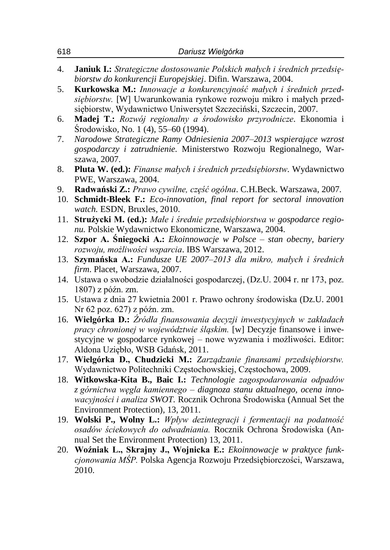| 4.        | Janiuk I.: Strategiczne dostosowanie Polskich małych i średnich przedsię-                                                                                                                                                                                                    |
|-----------|------------------------------------------------------------------------------------------------------------------------------------------------------------------------------------------------------------------------------------------------------------------------------|
| 5.        | biorstw do konkurencji Europejskiej. Difin. Warszawa, 2004.<br>Kurkowska M.: Innowacje a konkurencyjność małych i średnich przed-<br>siębiorstw. [W] Uwarunkowania rynkowe rozwoju mikro i małych przed-<br>siębiorstw, Wydawnictwo Uniwersytet Szczeciński, Szczecin, 2007. |
| 6.        | Madej T.: Rozwój regionalny a środowisko przyrodnicze. Ekonomia i<br>Srodowisko, No. 1 (4), 55–60 (1994).                                                                                                                                                                    |
| 7.        | Narodowe Strategiczne Ramy Odniesienia 2007-2013 wspierające wzrost<br>gospodarczy i zatrudnienie. Ministerstwo Rozwoju Regionalnego, War-<br>szawa, 2007.                                                                                                                   |
| 8.        | Pluta W. (ed.): Finanse malych i średnich przedsiębiorstw. Wydawnictwo<br>PWE, Warszawa, 2004.                                                                                                                                                                               |
| 9.<br>10. | Radwański Z.: Prawo cywilne, część ogólna. C.H.Beck. Warszawa, 2007.<br>Schmidt-Bleek F.: Eco-innovation, final report for sectoral innovation<br>watch. ESDN, Bruxles, 2010.                                                                                                |
| 11.       | Strużycki M. (ed.): Małe i średnie przedsiębiorstwa w gospodarce regio-<br>nu. Polskie Wydawnictwo Ekonomiczne, Warszawa, 2004.                                                                                                                                              |
| 12.       | <b>Szpor A. Śniegocki A.:</b> <i>Ekoinnowacje w Polsce – stan obecny, bariery</i><br>rozwoju, możliwości wsparcia. IBS Warszawa, 2012.                                                                                                                                       |
| 13.       | Szymańska A.: Fundusze UE 2007-2013 dla mikro, małych i średnich<br>firm. Placet, Warszawa, 2007.                                                                                                                                                                            |
|           | 14. Ustawa o swobodzie działalności gospodarczej, (Dz.U. 2004 r. nr 173, poz.<br>1807) z późn. zm.                                                                                                                                                                           |
| 15.       | Ustawa z dnia 27 kwietnia 2001 r. Prawo ochrony środowiska (Dz.U. 2001<br>Nr 62 poz. 627) z późn. zm.                                                                                                                                                                        |
|           | 16. Wielgórka D.: Źródła finansowania decyzji inwestycyjnych w zakładach<br>pracy chronionej w województwie śląskim. [w] Decyzje finansowe i inwe-<br>stycyjne w gospodarce rynkowej – nowe wyzwania i możliwości. Editor:<br>Aldona Uziębło, WSB Gdańsk, 2011.              |
| 17.       | Wielgórka D., Chudzicki M.: Zarządzanie finansami przedsiębiorstw.<br>Wydawnictwo Politechniki Częstochowskiej, Częstochowa, 2009.                                                                                                                                           |
| 18.       | Witkowska-Kita B., Baic I.: Technologie zagospodarowania odpadów<br>z górnictwa węgla kamiennego – diagnoza stanu aktualnego, ocena inno-<br>wacyjności i analiza SWOT. Rocznik Ochrona Środowiska (Annual Set the<br>Environment Protection), 13, 2011.                     |
|           | 19. Wolski P., Wolny L.: Wpływ dezintegracji i fermentacji na podatność<br>osadów ściekowych do odwadniania. Rocznik Ochrona Środowiska (An-<br>nual Set the Environment Protection) 13, 2011.                                                                               |
| 20.       | Woźniak L., Skrajny J., Wojnicka E.: Ekoinnowacje w praktyce funk-<br>cjonowania MŚP. Polska Agencja Rozwoju Przedsiębiorczości, Warszawa,<br>2010.                                                                                                                          |
|           |                                                                                                                                                                                                                                                                              |

618 *Dariusz Wielgórka*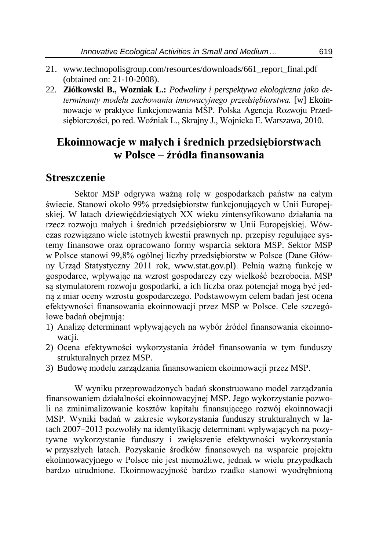- 21. www.technopolisgroup.com/resources/downloads/661\_report\_final.pdf (obtained on: 21-10-2008).
- 22. **Ziółkowski B., Wozniak L.:** *Podwaliny i perspektywa ekologiczna jako determinanty modelu zachowania innowacyjnego przedsiębiorstwa.* [w] Ekoinnowacje w praktyce funkcjonowania MŚP. Polska Agencja Rozwoju Przedsiębiorczości, po red. Woźniak L., Skrajny J., Wojnicka E. Warszawa, 2010.

#### **Ekoinnowacje w małych i średnich przedsiębiorstwach w Polsce – źródła finansowania**

#### **Streszczenie**

Sektor MSP odgrywa ważną rolę w gospodarkach państw na całym świecie. Stanowi około 99% przedsiębiorstw funkcjonujących w Unii Europejskiej. W latach dziewięćdziesiątych XX wieku zintensyfikowano działania na rzecz rozwoju małych i średnich przedsiębiorstw w Unii Europejskiej. Wówczas rozwiązano wiele istotnych kwestii prawnych np. przepisy regulujące systemy finansowe oraz opracowano formy wsparcia sektora MSP. Sektor MSP w Polsce stanowi 99,8% ogólnej liczby przedsiębiorstw w Polsce (Dane Główny Urząd Statystyczny 2011 rok, www.stat.gov.pl). Pełnią ważną funkcję w gospodarce, wpływając na wzrost gospodarczy czy wielkość bezrobocia. MSP są stymulatorem rozwoju gospodarki, a ich liczba oraz potencjał mogą być jedną z miar oceny wzrostu gospodarczego. Podstawowym celem badań jest ocena efektywności finansowania ekoinnowacji przez MSP w Polsce. Cele szczegółowe badań obejmują:

- 1) Analizę determinant wpływających na wybór źródeł finansowania ekoinnowacji.
- 2) Ocena efektywności wykorzystania źródeł finansowania w tym funduszy strukturalnych przez MSP.
- 3) Budowę modelu zarządzania finansowaniem ekoinnowacji przez MSP.

W wyniku przeprowadzonych badań skonstruowano model zarządzania finansowaniem działalności ekoinnowacyjnej MSP. Jego wykorzystanie pozwoli na zminimalizowanie kosztów kapitału finansującego rozwój ekoinnowacji MSP. Wyniki badań w zakresie wykorzystania funduszy strukturalnych w latach 2007–2013 pozwoliły na identyfikację determinant wpływających na pozytywne wykorzystanie funduszy i zwiększenie efektywności wykorzystania w przyszłych latach. Pozyskanie środków finansowych na wsparcie projektu ekoinnowacyjnego w Polsce nie jest niemożliwe, jednak w wielu przypadkach bardzo utrudnione. Ekoinnowacyjność bardzo rzadko stanowi wyodrębnioną